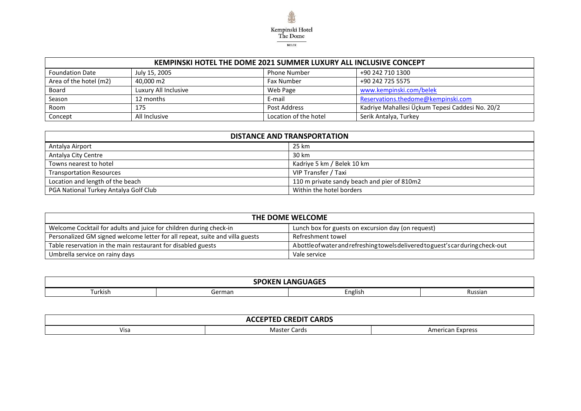

| <b>KEMPINSKI HOTEL THE DOME 2021 SUMMER LUXURY ALL INCLUSIVE CONCEPT</b> |                      |                       |                                                 |  |  |  |
|--------------------------------------------------------------------------|----------------------|-----------------------|-------------------------------------------------|--|--|--|
| <b>Foundation Date</b>                                                   | July 15, 2005        | <b>Phone Number</b>   | +90 242 710 1300                                |  |  |  |
| Area of the hotel (m2)                                                   | 40,000 m2            | <b>Fax Number</b>     | +90 242 725 5575                                |  |  |  |
| <b>Board</b>                                                             | Luxury All Inclusive | Web Page              | www.kempinski.com/belek                         |  |  |  |
| Season                                                                   | 12 months            | E-mail                | Reservations.thedome@kempinski.com              |  |  |  |
| Room                                                                     | 175                  | Post Address          | Kadriye Mahallesi Üçkum Tepesi Caddesi No. 20/2 |  |  |  |
| Concept                                                                  | All Inclusive        | Location of the hotel | Serik Antalya, Turkey                           |  |  |  |

| <b>DISTANCE AND TRANSPORTATION</b>    |                                             |  |  |  |
|---------------------------------------|---------------------------------------------|--|--|--|
| Antalya Airport                       | 25 km                                       |  |  |  |
| Antalya City Centre                   | 30 km                                       |  |  |  |
| Towns nearest to hotel                | Kadriye 5 km / Belek 10 km                  |  |  |  |
| <b>Transportation Resources</b>       | VIP Transfer / Taxi                         |  |  |  |
| Location and length of the beach      | 110 m private sandy beach and pier of 810m2 |  |  |  |
| PGA National Turkey Antalya Golf Club | Within the hotel borders                    |  |  |  |

| THE DOME WELCOME                                                             |                                                                                 |  |  |  |  |  |
|------------------------------------------------------------------------------|---------------------------------------------------------------------------------|--|--|--|--|--|
| Welcome Cocktail for adults and juice for children during check-in           | Lunch box for guests on excursion day (on request)                              |  |  |  |  |  |
| Personalized GM signed welcome letter for all repeat, suite and villa guests | Refreshment towel                                                               |  |  |  |  |  |
| Table reservation in the main restaurant for disabled guests                 | Abottle of water and refreshing towels delivered to guest's carduring check-out |  |  |  |  |  |
| Umbrella service on rainy days                                               | Vale service                                                                    |  |  |  |  |  |

| $- - -$<br>$\mathbf{L}$<br>. ANC $\sim$             |  |  |  |  |  |  |
|-----------------------------------------------------|--|--|--|--|--|--|
| <sup>-</sup> urkish<br>3erman<br>cnglish<br>Russian |  |  |  |  |  |  |

| <b>CREDIT CARDS</b><br>----<br>.<br>…<br>. .<br>льчы<br>. |                          |                                        |  |  |  |
|-----------------------------------------------------------|--------------------------|----------------------------------------|--|--|--|
| Visa                                                      | <b>Cards</b><br>Master C | Americ <sup>.</sup><br>Express<br>1can |  |  |  |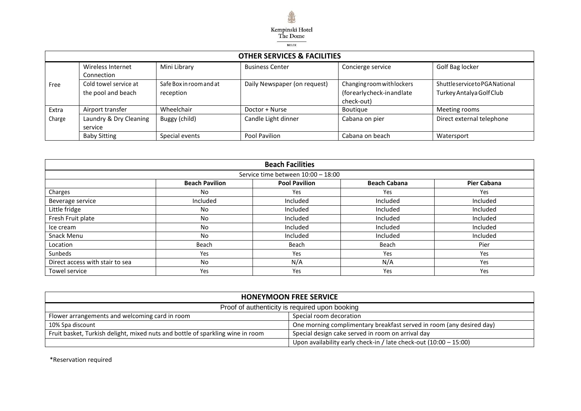

|        | <b>OTHER SERVICES &amp; FACILITIES</b>      |                                      |                              |                                                                      |                                                         |  |  |
|--------|---------------------------------------------|--------------------------------------|------------------------------|----------------------------------------------------------------------|---------------------------------------------------------|--|--|
|        | Wireless Internet<br>Connection             | Mini Library                         | <b>Business Center</b>       | Concierge service                                                    | Golf Bag locker                                         |  |  |
| Free   | Cold towel service at<br>the pool and beach | Safe Box in room and at<br>reception | Daily Newspaper (on request) | Changing room with lockers<br>(forearlycheck-inandlate<br>check-out) | ShuttleservicetoPGANational<br>Turkey Antalya Golf Club |  |  |
| Extra  | Airport transfer                            | Wheelchair                           | Doctor + Nurse               | Boutique                                                             | Meeting rooms                                           |  |  |
| Charge | Laundry & Dry Cleaning<br>service           | Buggy (child)                        | Candle Light dinner          | Cabana on pier                                                       | Direct external telephone                               |  |  |
|        | <b>Baby Sitting</b>                         | Special events                       | Pool Pavilion                | Cabana on beach                                                      | Watersport                                              |  |  |

| <b>Beach Facilities</b>         |                                                                                            |                                    |          |          |  |  |  |  |
|---------------------------------|--------------------------------------------------------------------------------------------|------------------------------------|----------|----------|--|--|--|--|
|                                 |                                                                                            | Service time between 10:00 - 18:00 |          |          |  |  |  |  |
|                                 | <b>Beach Cabana</b><br><b>Beach Pavilion</b><br><b>Pool Pavilion</b><br><b>Pier Cabana</b> |                                    |          |          |  |  |  |  |
| Charges                         | No                                                                                         | Yes                                | Yes      | Yes      |  |  |  |  |
| Beverage service                | Included                                                                                   | Included                           | Included | Included |  |  |  |  |
| Little fridge                   | <b>No</b>                                                                                  | Included                           | Included | Included |  |  |  |  |
| Fresh Fruit plate               | <b>No</b>                                                                                  | Included                           | Included | Included |  |  |  |  |
| Ice cream                       | <b>No</b>                                                                                  | Included                           | Included | Included |  |  |  |  |
| Snack Menu                      | <b>No</b>                                                                                  | Included                           | Included | Included |  |  |  |  |
| Location                        | Beach                                                                                      | Beach                              | Beach    | Pier     |  |  |  |  |
| Sunbeds                         | Yes                                                                                        | Yes                                | Yes      | Yes      |  |  |  |  |
| Direct access with stair to sea | <b>No</b>                                                                                  | N/A                                | N/A      | Yes      |  |  |  |  |
| Towel service                   | Yes                                                                                        | Yes                                | Yes      | Yes      |  |  |  |  |

| <b>HONEYMOON FREE SERVICE</b>                                                  |                                                                      |  |  |  |  |
|--------------------------------------------------------------------------------|----------------------------------------------------------------------|--|--|--|--|
| Proof of authenticity is required upon booking                                 |                                                                      |  |  |  |  |
| Special room decoration<br>Flower arrangements and welcoming card in room      |                                                                      |  |  |  |  |
| 10% Spa discount                                                               | One morning complimentary breakfast served in room (any desired day) |  |  |  |  |
| Fruit basket, Turkish delight, mixed nuts and bottle of sparkling wine in room | Special design cake served in room on arrival day                    |  |  |  |  |
|                                                                                | Upon availability early check-in / late check-out $(10:00 - 15:00)$  |  |  |  |  |

\*Reservation required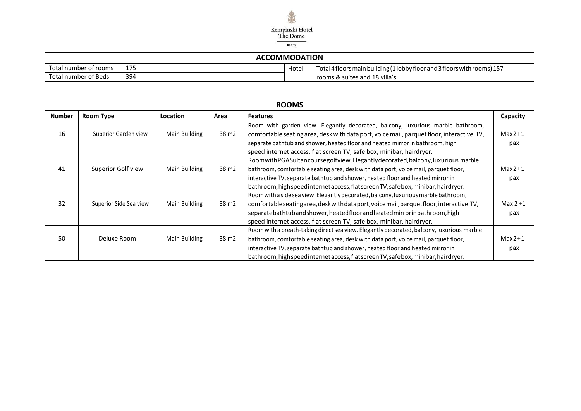

## **ACCOMMODATION**

| Total number of rooms | 1 7 L<br>∸′∼ | Hote | Total 4 floors main building (1 lobby floor and 3 floors with rooms) 157 |
|-----------------------|--------------|------|--------------------------------------------------------------------------|
| Total number of Beds  | 394          |      | rooms & suites and 18 villa's                                            |

|               | <b>ROOMS</b>           |                 |                   |                                                                                                                                                                                                                                                                                                                                                         |                  |  |
|---------------|------------------------|-----------------|-------------------|---------------------------------------------------------------------------------------------------------------------------------------------------------------------------------------------------------------------------------------------------------------------------------------------------------------------------------------------------------|------------------|--|
| <b>Number</b> | <b>Room Type</b>       | <b>Location</b> | Area              | <b>Features</b>                                                                                                                                                                                                                                                                                                                                         | Capacity         |  |
| 16            | Superior Garden view   | Main Building   | 38 m <sub>2</sub> | Room with garden view. Elegantly decorated, balcony, luxurious marble bathroom,<br>comfortable seating area, desk with data port, voice mail, parquet floor, interactive TV,<br>separate bathtub and shower, heated floor and heated mirror in bathroom, high<br>speed internet access, flat screen TV, safe box, minibar, hairdryer.                   | $Max2+1$<br>pax  |  |
| 41            | Superior Golf view     | Main Building   | 38 m <sub>2</sub> | RoomwithPGASultancoursegolfview.Elegantlydecorated,balcony,luxurious marble<br>bathroom, comfortable seating area, desk with data port, voice mail, parquet floor,<br>interactive TV, separate bathtub and shower, heated floor and heated mirror in<br>bathroom, high speed internet access, flatscreen TV, safebox, minibar, hairdryer.               | $Max2+1$<br>pax  |  |
| 32            | Superior Side Sea view | Main Building   | 38 m <sub>2</sub> | Room with a side sea view. Elegantly decorated, balcony, luxurious marble bathroom,<br>comfortable seating area, desk with data port, voice mail, parquetfloor, interactive TV,<br>separatebathtubandshower, heatedfloorandheated mirrorinbathroom, high<br>speed internet access, flat screen TV, safe box, minibar, hairdryer.                        | Max $2+1$<br>pax |  |
| 50            | Deluxe Room            | Main Building   | 38 m <sub>2</sub> | Room with a breath-taking direct sea view. Elegantly decorated, balcony, luxurious marble<br>bathroom, comfortable seating area, desk with data port, voice mail, parquet floor,<br>interactive TV, separate bathtub and shower, heated floor and heated mirror in<br>bathroom, high speed internet access, flatscreen TV, safebox, minibar, hairdryer. | $Max2+1$<br>pax  |  |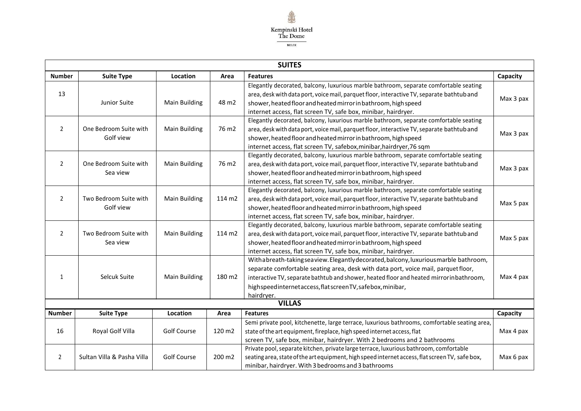

٦

ா

|                | <b>SUIILS</b>              |                      |                   |                                                                                                 |           |  |  |
|----------------|----------------------------|----------------------|-------------------|-------------------------------------------------------------------------------------------------|-----------|--|--|
| <b>Number</b>  | <b>Suite Type</b>          | Location             | Area              | <b>Features</b>                                                                                 | Capacity  |  |  |
|                |                            |                      |                   | Elegantly decorated, balcony, luxurious marble bathroom, separate comfortable seating           |           |  |  |
| 13             |                            |                      |                   | area, desk with data port, voice mail, parquet floor, interactive TV, separate bathtub and      |           |  |  |
|                | Junior Suite               | Main Building        | 48 m2             | shower, heated floor and heated mirror in bathroom, high speed                                  | Max 3 pax |  |  |
|                |                            |                      |                   | internet access, flat screen TV, safe box, minibar, hairdryer.                                  |           |  |  |
|                |                            |                      |                   | Elegantly decorated, balcony, luxurious marble bathroom, separate comfortable seating           |           |  |  |
| $\overline{2}$ | One Bedroom Suite with     | Main Building        | 76 m <sub>2</sub> | area, desk with data port, voice mail, parquet floor, interactive TV, separate bathtub and      | Max 3 pax |  |  |
|                | Golf view                  |                      |                   | shower, heated floor and heated mirror in bathroom, high speed                                  |           |  |  |
|                |                            |                      |                   | internet access, flat screen TV, safebox, minibar, hairdryer, 76 sqm                            |           |  |  |
|                |                            |                      |                   | Elegantly decorated, balcony, luxurious marble bathroom, separate comfortable seating           |           |  |  |
| $\overline{2}$ | One Bedroom Suite with     | <b>Main Building</b> | 76 m <sub>2</sub> | area, desk with data port, voice mail, parquet floor, interactive TV, separate bathtub and      | Max 3 pax |  |  |
|                | Sea view                   |                      |                   | shower, heated floor and heated mirror in bathroom, high speed                                  |           |  |  |
|                |                            |                      |                   | internet access, flat screen TV, safe box, minibar, hairdryer.                                  |           |  |  |
|                |                            |                      |                   | Elegantly decorated, balcony, luxurious marble bathroom, separate comfortable seating           |           |  |  |
| $\overline{2}$ | Two Bedroom Suite with     | <b>Main Building</b> | 114 m2            | area, desk with data port, voice mail, parquet floor, interactive TV, separate bathtub and      | Max 5 pax |  |  |
|                | Golf view                  |                      |                   | shower, heated floor and heated mirror in bathroom, high speed                                  |           |  |  |
|                |                            |                      |                   | internet access, flat screen TV, safe box, minibar, hairdryer.                                  |           |  |  |
|                |                            |                      |                   | Elegantly decorated, balcony, luxurious marble bathroom, separate comfortable seating           |           |  |  |
| $\overline{2}$ | Two Bedroom Suite with     | <b>Main Building</b> | 114 m2            | area, desk with data port, voice mail, parquet floor, interactive TV, separate bathtub and      | Max 5 pax |  |  |
|                | Sea view                   |                      |                   | shower, heated floor and heated mirror in bathroom, high speed                                  |           |  |  |
|                |                            |                      |                   | internet access, flat screen TV, safe box, minibar, hairdryer.                                  |           |  |  |
|                |                            |                      |                   | With a breath-taking seaview. Elegantly decorated, balcony, luxurious marble bathroom,          |           |  |  |
|                |                            |                      |                   | separate comfortable seating area, desk with data port, voice mail, parquet floor,              |           |  |  |
| 1              | Selcuk Suite               | <b>Main Building</b> | 180 m2            | interactive TV, separate bathtub and shower, heated floor and heated mirrorinbathroom,          | Max 4 pax |  |  |
|                |                            |                      |                   | highspeedinternetaccess, flatscreen TV, safebox, minibar,                                       |           |  |  |
|                |                            |                      |                   | hairdryer.                                                                                      |           |  |  |
|                |                            |                      |                   | <b>VILLAS</b>                                                                                   |           |  |  |
| <b>Number</b>  | <b>Suite Type</b>          | Location             | Area              | <b>Features</b>                                                                                 | Capacity  |  |  |
|                |                            |                      |                   | Semi private pool, kitchenette, large terrace, luxurious bathrooms, comfortable seating area,   |           |  |  |
| 16             | Royal Golf Villa           | <b>Golf Course</b>   | 120 m2            | state of the art equipment, fireplace, high speed internet access, flat                         | Max 4 pax |  |  |
|                |                            |                      |                   | screen TV, safe box, minibar, hairdryer. With 2 bedrooms and 2 bathrooms                        |           |  |  |
|                |                            |                      |                   | Private pool, separate kitchen, private large terrace, luxurious bathroom, comfortable          |           |  |  |
| $\overline{2}$ | Sultan Villa & Pasha Villa | <b>Golf Course</b>   | 200 m2            | seating area, state of the art equipment, high speed internet access, flat screen TV, safe box, | Max 6 pax |  |  |
|                |                            |                      |                   | minibar, hairdryer. With 3 bedrooms and 3 bathrooms                                             |           |  |  |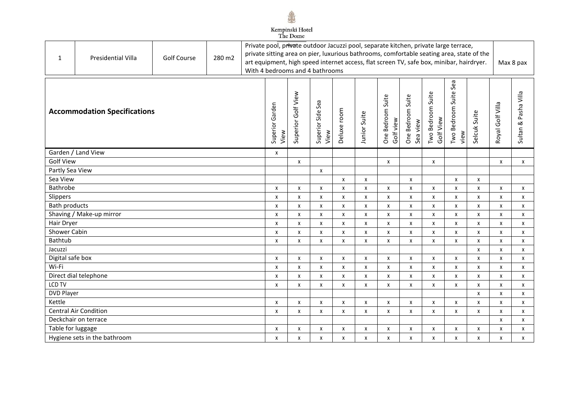

| 1                                   | <b>Presidential Villa</b>    | <b>Golf Course</b> | 280 m2                  |                    |                           |                           | Private pool, private outdoor Jacuzzi pool, separate kitchen, private large terrace,<br>private sitting area on pier, luxurious bathrooms, comfortable seating area, state of the<br>art equipment, high speed internet access, flat screen TV, safe box, minibar, hairdryer.<br>With 4 bedrooms and 4 bathrooms |                                |                               |                                |                                  |                           |                                |                      |   | Max 8 pax |
|-------------------------------------|------------------------------|--------------------|-------------------------|--------------------|---------------------------|---------------------------|------------------------------------------------------------------------------------------------------------------------------------------------------------------------------------------------------------------------------------------------------------------------------------------------------------------|--------------------------------|-------------------------------|--------------------------------|----------------------------------|---------------------------|--------------------------------|----------------------|---|-----------|
| <b>Accommodation Specifications</b> |                              |                    | Superior Garden<br>View | Superior Golf View | Superior Side Sea<br>View | Deluxe room               | <b>Junior Suite</b>                                                                                                                                                                                                                                                                                              | One Bedroom Suite<br>Golf view | One Bedroom Suite<br>Sea view | Two Bedroom Suite<br>Golf View | Sea<br>Two Bedroom Suite<br>view | Selcuk Suite              | Royal Golf Villa               | Sultan & Pasha Villa |   |           |
|                                     | Garden / Land View           |                    |                         |                    | X                         |                           |                                                                                                                                                                                                                                                                                                                  |                                |                               |                                |                                  |                           |                                |                      |   |           |
| <b>Golf View</b>                    |                              |                    |                         |                    |                           | $\pmb{\chi}$              |                                                                                                                                                                                                                                                                                                                  |                                |                               | X                              |                                  | X                         |                                |                      | X | X         |
| Partly Sea View                     |                              |                    |                         |                    |                           |                           | X                                                                                                                                                                                                                                                                                                                |                                |                               |                                |                                  |                           |                                |                      |   |           |
| Sea View                            |                              |                    |                         |                    |                           |                           |                                                                                                                                                                                                                                                                                                                  | $\pmb{\chi}$                   | X                             |                                | X                                |                           | X                              | X                    |   |           |
| Bathrobe                            |                              |                    |                         |                    | X                         | X                         | X                                                                                                                                                                                                                                                                                                                | X                              | X                             | X                              | X                                | X                         | X                              | X                    | Χ | X         |
| Slippers                            |                              |                    |                         |                    | x                         | X                         | X                                                                                                                                                                                                                                                                                                                | X                              | X                             | X                              | X                                | X                         | X                              | $\pmb{\chi}$         | X | X         |
| <b>Bath products</b>                |                              |                    |                         |                    | x                         | X                         | X                                                                                                                                                                                                                                                                                                                | X                              | $\pmb{\mathsf{X}}$            | X                              | X                                | X                         | X                              | $\pmb{\mathsf{X}}$   | Χ | X         |
|                                     | Shaving / Make-up mirror     |                    |                         |                    | X                         | X                         | $\mathsf{x}$                                                                                                                                                                                                                                                                                                     | X                              | X                             | X                              | $\mathsf{x}$                     | X                         | X                              | X                    | X | X         |
| Hair Dryer                          |                              |                    |                         |                    | x                         | X                         | X                                                                                                                                                                                                                                                                                                                | X                              | x                             | X                              | X                                | X                         | x                              | X                    | X | X         |
| <b>Shower Cabin</b>                 |                              |                    |                         |                    | x                         | X                         | X                                                                                                                                                                                                                                                                                                                | X                              | X                             | $\pmb{\chi}$                   | X                                | X                         | X                              | X                    | X | X         |
| <b>Bathtub</b>                      |                              |                    |                         |                    | X                         | X                         | X                                                                                                                                                                                                                                                                                                                | $\boldsymbol{\mathsf{x}}$      | x                             | X                              | X                                | X                         | X                              | $\pmb{\mathsf{X}}$   | X | X         |
| Jacuzzi                             |                              |                    |                         |                    |                           |                           |                                                                                                                                                                                                                                                                                                                  |                                |                               |                                |                                  |                           |                                | $\mathsf{x}$         | X | X         |
| Digital safe box                    |                              |                    |                         |                    | x                         | X                         | X                                                                                                                                                                                                                                                                                                                | X                              | X                             | X                              | X                                | X                         | x                              | X                    | x | X         |
| Wi-Fi                               |                              |                    |                         |                    | X                         | X                         | $\mathsf{x}$                                                                                                                                                                                                                                                                                                     | $\boldsymbol{\mathsf{x}}$      | x                             | $\pmb{\chi}$                   | X                                | $\boldsymbol{\mathsf{x}}$ | X                              | X                    | X | X         |
|                                     | Direct dial telephone        |                    |                         |                    | x                         | X                         | $\pmb{\chi}$                                                                                                                                                                                                                                                                                                     | X                              | x                             | X                              | X                                | X                         | x                              | X                    | X | X         |
| LCD TV                              |                              |                    | x                       | X                  | X                         | X                         | x                                                                                                                                                                                                                                                                                                                | X                              | X                             | X                              | x                                | X                         | X                              | X                    |   |           |
| <b>DVD Player</b><br>Kettle         |                              |                    |                         |                    |                           | X                         |                                                                                                                                                                                                                                                                                                                  |                                |                               | X                              |                                  | X                         | X                              | X                    |   |           |
| Central Air Condition               |                              |                    | x                       | X                  | X<br>$\mathsf{x}$         | $\boldsymbol{\mathsf{x}}$ | x<br>X                                                                                                                                                                                                                                                                                                           | X                              | X                             | X                              | x<br>X                           | X<br>$\mathsf{x}$         | X<br>$\boldsymbol{\mathsf{X}}$ | X                    |   |           |
| Deckchair on terrace                |                              |                    | X                       | X                  |                           |                           |                                                                                                                                                                                                                                                                                                                  | X                              | X                             |                                |                                  |                           | X                              | X<br>X               |   |           |
| Table for luggage                   |                              |                    |                         | x                  | х                         | x                         | X                                                                                                                                                                                                                                                                                                                | х                              | X                             | X                              | X                                | X                         | X                              | X                    | X |           |
|                                     | Hygiene sets in the bathroom |                    |                         |                    | x                         | X                         | X                                                                                                                                                                                                                                                                                                                | X                              | x                             | X                              | X                                | X                         | x                              | X                    | X | X         |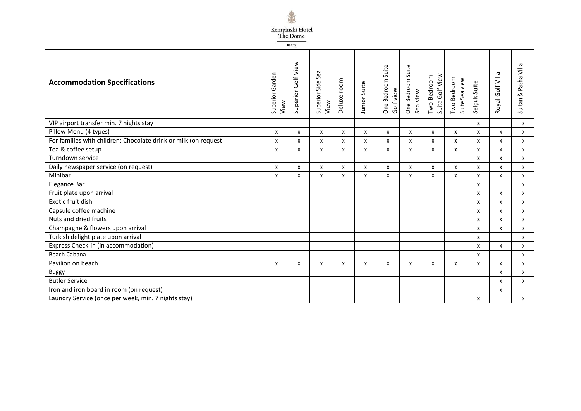

 ${\tt BELEK}$ 

| <b>Accommodation Specifications</b>                             | Garden<br>Superior<br>View | Superior Golf View | Sea<br>Superior Side<br>View | Deluxe room | Junior Suite | One Bedroom Suite<br>Golf view | One Bedroom Suite<br>Sea view | Suite Golf View<br>Two Bedroom | Two Bedroom<br>Sea view<br>Suite: | Selçuk Suite | Royal Golf Villa | Pasha Villa<br>$\propto$<br>Sultan |
|-----------------------------------------------------------------|----------------------------|--------------------|------------------------------|-------------|--------------|--------------------------------|-------------------------------|--------------------------------|-----------------------------------|--------------|------------------|------------------------------------|
| VIP airport transfer min. 7 nights stay                         |                            |                    |                              |             |              |                                |                               |                                |                                   | X            |                  | x                                  |
| Pillow Menu (4 types)                                           | X                          | X                  | $\mathsf{x}$                 | X           | X            | X                              | X                             | X                              | $\mathsf{x}$                      | $\mathsf{x}$ | X                | X                                  |
| For families with children: Chocolate drink or milk (on request | х                          | x                  | X                            | X           | X            | X                              | x                             | X                              | X                                 | X            | X                | X                                  |
| Tea & coffee setup                                              | x                          | X                  | X                            | x           | X            | X                              | X                             | X                              | X                                 | X            | x                | X                                  |
| Turndown service                                                |                            |                    |                              |             |              |                                |                               |                                |                                   | X            | х                | X                                  |
| Daily newspaper service (on request)                            | х                          | X                  | X                            | x           | X            | X                              | х                             | x                              | X                                 | X            | X                | x                                  |
| Minibar                                                         | X                          | x                  | $\mathsf{x}$                 | X           | X            | $\boldsymbol{\mathsf{x}}$      | X                             | X                              | $\boldsymbol{\mathsf{x}}$         | X            | X                | X                                  |
| Elegance Bar                                                    |                            |                    |                              |             |              |                                |                               |                                |                                   | X            |                  | X                                  |
| Fruit plate upon arrival                                        |                            |                    |                              |             |              |                                |                               |                                |                                   | X            | X                | X                                  |
| Exotic fruit dish                                               |                            |                    |                              |             |              |                                |                               |                                |                                   | X            | X                | X                                  |
| Capsule coffee machine                                          |                            |                    |                              |             |              |                                |                               |                                |                                   | X            | X                | X                                  |
| Nuts and dried fruits                                           |                            |                    |                              |             |              |                                |                               |                                |                                   | X            | x                | X                                  |
| Champagne & flowers upon arrival                                |                            |                    |                              |             |              |                                |                               |                                |                                   | X            | X                | X                                  |
| Turkish delight plate upon arrival                              |                            |                    |                              |             |              |                                |                               |                                |                                   | X            |                  | X                                  |
| Express Check-in (in accommodation)                             |                            |                    |                              |             |              |                                |                               |                                |                                   | X            | X                | x                                  |
| <b>Beach Cabana</b>                                             |                            |                    |                              |             |              |                                |                               |                                |                                   | X            |                  | x                                  |
| Pavilion on beach                                               | х                          | X                  | X                            | X           | X            | X                              | X                             | x                              | X                                 | X            | X                | X                                  |
| Buggy                                                           |                            |                    |                              |             |              |                                |                               |                                |                                   |              | X                | X                                  |
| <b>Butler Service</b>                                           |                            |                    |                              |             |              |                                |                               |                                |                                   |              | X                | X                                  |
| Iron and iron board in room (on request)                        |                            |                    |                              |             |              |                                |                               |                                |                                   |              | X                |                                    |
| Laundry Service (once per week, min. 7 nights stay)             |                            |                    |                              |             |              |                                |                               |                                |                                   | X            |                  | X                                  |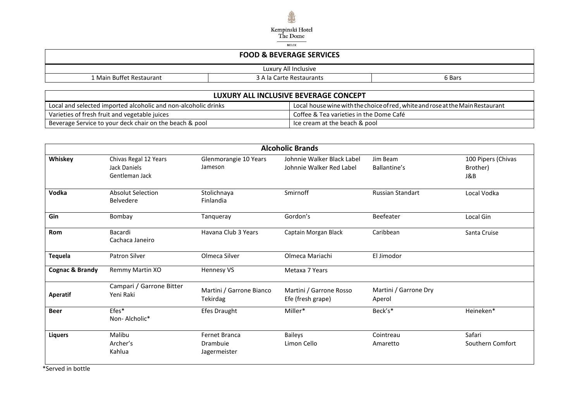

| <b>TANATION</b>                                                |                      |  |  |  |  |
|----------------------------------------------------------------|----------------------|--|--|--|--|
| <b>FOOD &amp; BEVERAGE SERVICES</b>                            |                      |  |  |  |  |
|                                                                | Luxury All Inclusive |  |  |  |  |
| 1 Main Buffet Restaurant<br>3 A la Carte Restaurants<br>6 Bars |                      |  |  |  |  |

| LUXURY ALL INCLUSIVE BEVERAGE CONCEPT                          |                                                                                 |  |  |  |
|----------------------------------------------------------------|---------------------------------------------------------------------------------|--|--|--|
| Local and selected imported alcoholic and non-alcoholic drinks | Local house wine with the choice of red , white and rose at the Main Restaurant |  |  |  |
| Varieties of fresh fruit and vegetable juices                  | Coffee & Tea varieties in the Dome Café                                         |  |  |  |
| Beverage Service to your deck chair on the beach & pool        | Ice cream at the beach & pool                                                   |  |  |  |

|                 |                                                         |                                                  | <b>Alcoholic Brands</b>                                |                                 |                                       |
|-----------------|---------------------------------------------------------|--------------------------------------------------|--------------------------------------------------------|---------------------------------|---------------------------------------|
| Whiskey         | Chivas Regal 12 Years<br>Jack Daniels<br>Gentleman Jack | Glenmorangie 10 Years<br>Jameson                 | Johnnie Walker Black Label<br>Johnnie Walker Red Label | Jim Beam<br>Ballantine's        | 100 Pipers (Chivas<br>Brother)<br>J&B |
| Vodka           | <b>Absolut Selection</b><br>Belvedere                   | Stolichnaya<br>Finlandia                         | Smirnoff                                               | <b>Russian Standart</b>         | Local Vodka                           |
| Gin             | Bombay                                                  | Tanqueray                                        | Gordon's                                               | Beefeater                       | Local Gin                             |
| Rom             | Bacardi<br>Cachaca Janeiro                              | Havana Club 3 Years                              | Captain Morgan Black                                   | Caribbean                       | Santa Cruise                          |
| Tequela         | Patron Silver                                           | Olmeca Silver                                    | Olmeca Mariachi                                        | El Jimodor                      |                                       |
| Cognac & Brandy | Remmy Martin XO                                         | Hennesy VS                                       | Metaxa 7 Years                                         |                                 |                                       |
| Aperatif        | Campari / Garrone Bitter<br>Yeni Raki                   | Martini / Garrone Bianco<br><b>Tekirdag</b>      | Martini / Garrone Rosso<br>Efe (fresh grape)           | Martini / Garrone Dry<br>Aperol |                                       |
| <b>Beer</b>     | Efes*<br>Non-Alcholic*                                  | <b>Efes Draught</b>                              | Miller*                                                | Beck's*                         | Heineken*                             |
| <b>Liquers</b>  | Malibu<br>Archer's<br>Kahlua                            | <b>Fernet Branca</b><br>Drambuie<br>Jagermeister | Baileys<br>Limon Cello                                 | Cointreau<br>Amaretto           | Safari<br>Southern Comfort            |

\*Served in bottle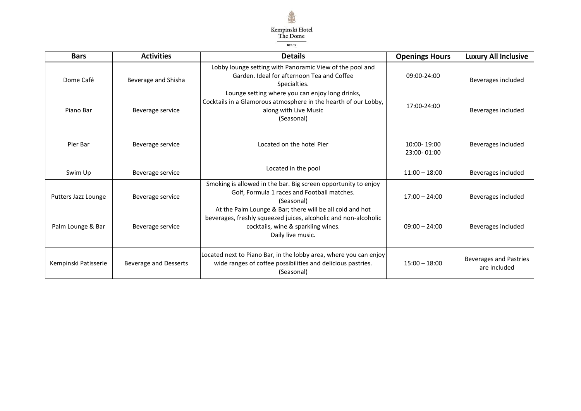

| <b>Bars</b>          | <b>Activities</b>            | <b>Details</b>                                                                                                                                                                         | <b>Openings Hours</b>      | <b>Luxury All Inclusive</b>                   |
|----------------------|------------------------------|----------------------------------------------------------------------------------------------------------------------------------------------------------------------------------------|----------------------------|-----------------------------------------------|
| Dome Café            | Beverage and Shisha          | Lobby lounge setting with Panoramic View of the pool and<br>Garden. Ideal for afternoon Tea and Coffee<br>Specialties.                                                                 | 09:00-24:00                | Beverages included                            |
| Piano Bar            | Beverage service             | Lounge setting where you can enjoy long drinks,<br>Cocktails in a Glamorous atmosphere in the hearth of our Lobby,<br>along with Live Music<br>(Seasonal)                              | 17:00-24:00                | Beverages included                            |
| Pier Bar             | Beverage service             | Located on the hotel Pier                                                                                                                                                              | 10:00-19:00<br>23:00-01:00 | Beverages included                            |
| Swim Up              | Beverage service             | Located in the pool                                                                                                                                                                    | $11:00 - 18:00$            | Beverages included                            |
| Putters Jazz Lounge  | Beverage service             | Smoking is allowed in the bar. Big screen opportunity to enjoy<br>Golf, Formula 1 races and Football matches.<br>(Seasonal)                                                            | $17:00 - 24:00$            | Beverages included                            |
| Palm Lounge & Bar    | Beverage service             | At the Palm Lounge & Bar; there will be all cold and hot<br>beverages, freshly squeezed juices, alcoholic and non-alcoholic<br>cocktails, wine & sparkling wines.<br>Daily live music. | $09:00 - 24:00$            | Beverages included                            |
| Kempinski Patisserie | <b>Beverage and Desserts</b> | Located next to Piano Bar, in the lobby area, where you can enjoy<br>wide ranges of coffee possibilities and delicious pastries.<br>(Seasonal)                                         | $15:00 - 18:00$            | <b>Beverages and Pastries</b><br>are Included |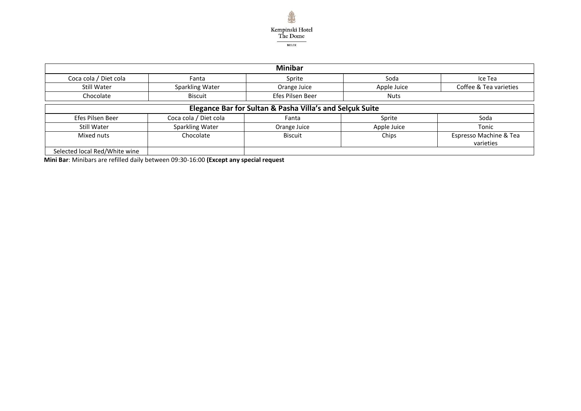

|                               |                                                          | <b>Minibar</b>   |             |                        |  |  |
|-------------------------------|----------------------------------------------------------|------------------|-------------|------------------------|--|--|
| Coca cola / Diet cola         | Fanta                                                    | Sprite           | Soda        | Ice Tea                |  |  |
| Still Water                   | Sparkling Water                                          | Orange Juice     | Apple Juice | Coffee & Tea varieties |  |  |
| Chocolate                     | <b>Biscuit</b>                                           | Efes Pilsen Beer | <b>Nuts</b> |                        |  |  |
|                               | Elegance Bar for Sultan & Pasha Villa's and Selçuk Suite |                  |             |                        |  |  |
| Efes Pilsen Beer              | Coca cola / Diet cola                                    | Fanta            | Sprite      | Soda                   |  |  |
| Still Water                   | Sparkling Water                                          | Orange Juice     | Apple Juice | Tonic                  |  |  |
| Mixed nuts                    | Chocolate                                                | <b>Biscuit</b>   | Chips       | Espresso Machine & Tea |  |  |
|                               |                                                          |                  |             | varieties              |  |  |
| Selected local Red/White wine |                                                          |                  |             |                        |  |  |

 **Mini Bar**: Minibars are refilled daily between 09:30-16:00 **(Except any special request**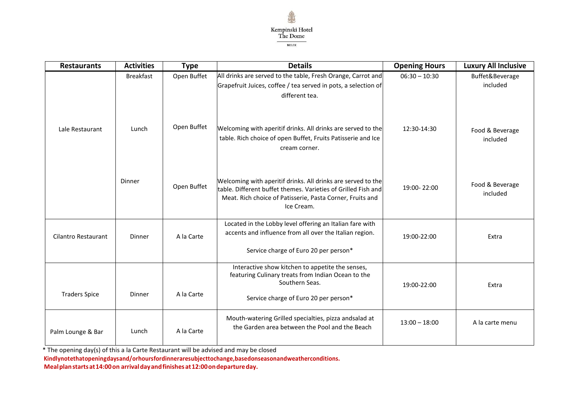

| <b>Restaurants</b>         | <b>Activities</b> | <b>Type</b> | <b>Details</b>                                                                                                                                                                                           | <b>Opening Hours</b> | <b>Luxury All Inclusive</b> |
|----------------------------|-------------------|-------------|----------------------------------------------------------------------------------------------------------------------------------------------------------------------------------------------------------|----------------------|-----------------------------|
|                            | <b>Breakfast</b>  | Open Buffet | All drinks are served to the table, Fresh Orange, Carrot and<br>Grapefruit Juices, coffee / tea served in pots, a selection of<br>different tea.                                                         | $06:30 - 10:30$      | Buffet&Beverage<br>included |
| Lale Restaurant            | Lunch             | Open Buffet | Welcoming with aperitif drinks. All drinks are served to the<br>table. Rich choice of open Buffet, Fruits Patisserie and Ice<br>cream corner.                                                            | 12:30-14:30          | Food & Beverage<br>included |
|                            | Dinner            | Open Buffet | Welcoming with aperitif drinks. All drinks are served to the<br>table. Different buffet themes. Varieties of Grilled Fish and<br>Meat. Rich choice of Patisserie, Pasta Corner, Fruits and<br>Ice Cream. | 19:00-22:00          | Food & Beverage<br>included |
| <b>Cilantro Restaurant</b> | Dinner            | A la Carte  | Located in the Lobby level offering an Italian fare with<br>accents and influence from all over the Italian region.<br>Service charge of Euro 20 per person*                                             | 19:00-22:00          | Extra                       |
| <b>Traders Spice</b>       | Dinner            | A la Carte  | Interactive show kitchen to appetite the senses,<br>featuring Culinary treats from Indian Ocean to the<br>Southern Seas.<br>Service charge of Euro 20 per person*                                        | 19:00-22:00          | Extra                       |
| Palm Lounge & Bar          | Lunch             | A la Carte  | Mouth-watering Grilled specialties, pizza andsalad at<br>the Garden area between the Pool and the Beach                                                                                                  | $13:00 - 18:00$      | A la carte menu             |

\* The opening day(s) of this a la Carte Restaurant will be advised and may be closed

 **Kindlynotethatopeningdaysand/orhoursfordinneraresubjecttochange,basedonseasonandweatherconditions. Mealplanstartsat14:00on arrivaldayandfinishesat12:00ondepartureday.**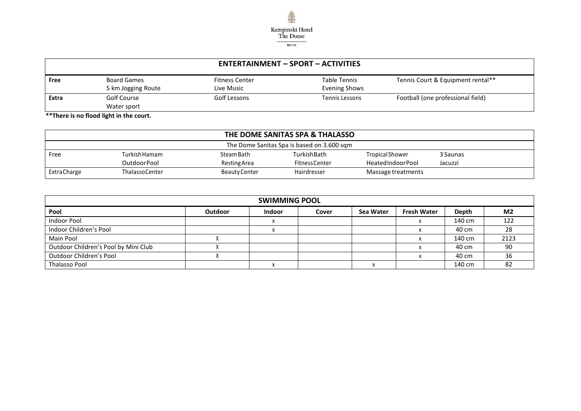

|       | <b>ENTERTAINMENT – SPORT – ACTIVITIES</b> |                                     |                               |                                   |  |  |
|-------|-------------------------------------------|-------------------------------------|-------------------------------|-----------------------------------|--|--|
| Free  | <b>Board Games</b><br>5 km Jogging Route  | <b>Fitness Center</b><br>Live Music | Table Tennis<br>Evening Shows | Tennis Court & Equipment rental** |  |  |
| Extra | Golf Course<br>Water sport                | Golf Lessons                        | Tennis Lessons                | Football (one professional field) |  |  |

 **\*\*There is no flood light in the court.**

| THE DOME SANITAS SPA & THALASSO |                                            |               |                      |                    |          |  |
|---------------------------------|--------------------------------------------|---------------|----------------------|--------------------|----------|--|
|                                 | The Dome Sanitas Spa is based on 3.600 sqm |               |                      |                    |          |  |
| Free                            | Turkish Hamam                              | Steam Bath    | TurkishBath          | Tropical Shower    | 3 Saunas |  |
|                                 | Outdoor Pool                               | Resting Area  | <b>FitnessCenter</b> | HeatedIndoorPool   | Jacuzzi  |  |
| <b>ExtraCharge</b>              | <b>ThalassoCenter</b>                      | Beauty Center | Hairdresser          | Massage treatments |          |  |

| <b>SWIMMING POOL</b>                 |                |               |       |           |                    |        |                |
|--------------------------------------|----------------|---------------|-------|-----------|--------------------|--------|----------------|
| Pool                                 | <b>Outdoor</b> | <b>Indoor</b> | Cover | Sea Water | <b>Fresh Water</b> | Depth  | M <sub>2</sub> |
| Indoor Pool                          |                |               |       |           |                    | 140 cm | 122            |
| Indoor Children's Pool               |                |               |       |           |                    | 40 cm  | 28             |
| Main Pool                            |                |               |       |           |                    | 140 cm | 2123           |
| Outdoor Children's Pool by Mini Club |                |               |       |           |                    | 40 cm  | -90            |
| Outdoor Children's Pool              |                |               |       |           |                    | 40 cm  | 36             |
| <b>Thalasso Pool</b>                 |                |               |       |           |                    | 140 cm | -82            |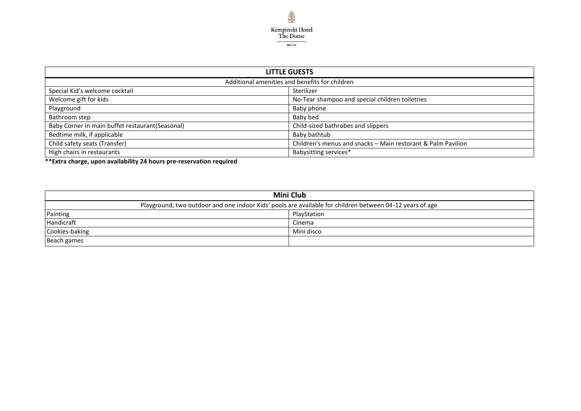

| <b>LITTLE GUESTS</b>                             |                                                              |  |  |  |
|--------------------------------------------------|--------------------------------------------------------------|--|--|--|
| Additional amenities and benefits for children   |                                                              |  |  |  |
| Special Kid's welcome cocktail                   | Sterilizer                                                   |  |  |  |
| Welcome gift for kids                            | No-Tear shampoo and special children toiletries              |  |  |  |
| Playground                                       | Baby phone                                                   |  |  |  |
| Bathroom step                                    | Baby bed                                                     |  |  |  |
| Baby Corner in main buffet restaurant (Seasonal) | Child-sized bathrobes and slippers                           |  |  |  |
| Bedtime milk, if applicable                      | Baby bathtub                                                 |  |  |  |
| Child safety seats (Transfer)                    | Children's menus and snacks - Main restorant & Palm Pavilion |  |  |  |
| High chairs in restaurants                       | Babysitting services*                                        |  |  |  |

**\*\*Extra charge, upon availability 24 hours pre-reservation required**

| <b>Mini Club</b>                                                                                         |             |  |  |
|----------------------------------------------------------------------------------------------------------|-------------|--|--|
| Playground, two outdoor and one indoor Kids' pools are available for children between 04-12 years of age |             |  |  |
| Painting                                                                                                 | PlayStation |  |  |
| Handicraft                                                                                               | Cinema      |  |  |
| Cookies-baking                                                                                           | Mini disco  |  |  |
| Beach games                                                                                              |             |  |  |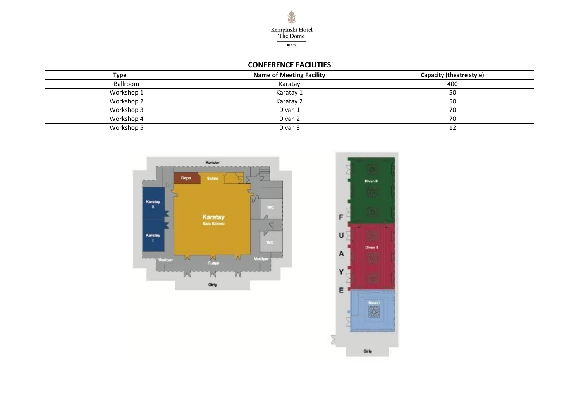

| <b>CONFERENCE FACILITIES</b> |                                 |                          |  |
|------------------------------|---------------------------------|--------------------------|--|
| Type                         | <b>Name of Meeting Facility</b> | Capacity (theatre style) |  |
| Ballroom                     | Karatay                         | 400                      |  |
| Workshop 1                   | Karatay 1                       | 50                       |  |
| Workshop 2                   | Karatay 2                       | 50                       |  |
| Workshop 3                   | Divan 1                         | 70                       |  |
| Workshop 4                   | Divan 2                         | 70                       |  |
| Workshop 5                   | Divan <sub>3</sub>              | 12                       |  |